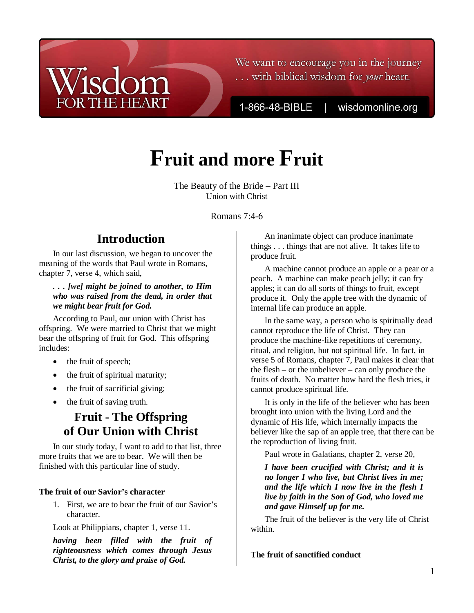# We want to encourage you in the journey ... with biblical wisdom for *your* heart.

1-866-48-BIBLE

wisdomonline.org

# **Fruit and more Fruit**

The Beauty of the Bride – Part III Union with Christ

Romans 7:4-6

# **Introduction**

In our last discussion, we began to uncover the meaning of the words that Paul wrote in Romans, chapter 7, verse 4, which said,

*. . . [we] might be joined to another, to Him who was raised from the dead, in order that we might bear fruit for God.* 

According to Paul, our union with Christ has offspring. We were married to Christ that we might bear the offspring of fruit for God. This offspring includes:

- the fruit of speech;
- the fruit of spiritual maturity;
- the fruit of sacrificial giving;
- the fruit of saving truth.

# **Fruit - The Offspring of Our Union with Christ**

In our study today, I want to add to that list, three more fruits that we are to bear. We will then be finished with this particular line of study.

## **The fruit of our Savior's character**

1. First, we are to bear the fruit of our Savior's character.

Look at Philippians, chapter 1, verse 11.

*having been filled with the fruit of righteousness which comes through Jesus Christ, to the glory and praise of God.* 

An inanimate object can produce inanimate things . . . things that are not alive. It takes life to produce fruit.

A machine cannot produce an apple or a pear or a peach. A machine can make peach jelly; it can fry apples; it can do all sorts of things to fruit, except produce it. Only the apple tree with the dynamic of internal life can produce an apple.

In the same way, a person who is spiritually dead cannot reproduce the life of Christ. They can produce the machine-like repetitions of ceremony, ritual, and religion, but not spiritual life. In fact, in verse 5 of Romans, chapter 7, Paul makes it clear that the flesh – or the unbeliever – can only produce the fruits of death. No matter how hard the flesh tries, it cannot produce spiritual life.

It is only in the life of the believer who has been brought into union with the living Lord and the dynamic of His life, which internally impacts the believer like the sap of an apple tree, that there can be the reproduction of living fruit.

Paul wrote in Galatians, chapter 2, verse 20,

*I have been crucified with Christ; and it is no longer I who live, but Christ lives in me; and the life which I now live in the flesh I live by faith in the Son of God, who loved me and gave Himself up for me.* 

The fruit of the believer is the very life of Christ within.

**The fruit of sanctified conduct**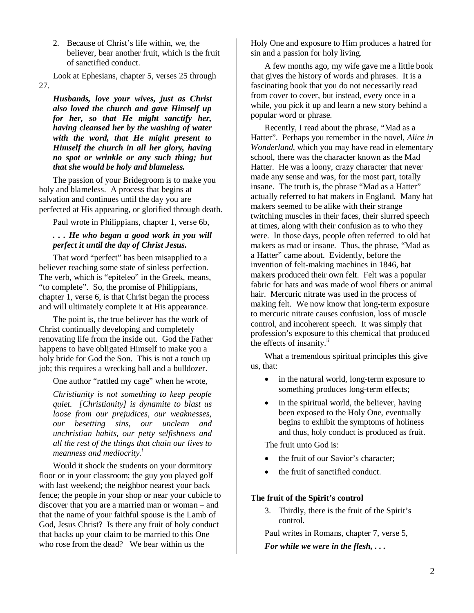2. Because of Christ's life within, we, the believer, bear another fruit, which is the fruit of sanctified conduct.

Look at Ephesians, chapter 5, verses 25 through 27.

*Husbands, love your wives, just as Christ also loved the church and gave Himself up for her, so that He might sanctify her, having cleansed her by the washing of water with the word, that He might present to Himself the church in all her glory, having no spot or wrinkle or any such thing; but that she would be holy and blameless.*

The passion of your Bridegroom is to make you holy and blameless. A process that begins at salvation and continues until the day you are perfected at His appearing, or glorified through death.

Paul wrote in Philippians, chapter 1, verse 6b,

## *. . . He who began a good work in you will perfect it until the day of Christ Jesus.*

That word "perfect" has been misapplied to a believer reaching some state of sinless perfection. The verb, which is "epiteleo" in the Greek, means, "to complete". So, the promise of Philippians, chapter 1, verse 6, is that Christ began the process and will ultimately complete it at His appearance.

The point is, the true believer has the work of Christ continually developing and completely renovating life from the inside out. God the Father happens to have obligated Himself to make you a holy bride for God the Son. This is not a touch up job; this requires a wrecking ball and a bulldozer.

One author "rattled my cage" when he wrote,

*Christianity is not something to keep people quiet. [Christianity] is dynamite to blast us loose from our prejudices, our weaknesses, our besetting sins, our unclean and unchristian habits, our petty selfishness and all the rest of the things that chain our lives to meanness and mediocrity.<sup>i</sup>*

Would it shock the students on your dormitory floor or in your classroom; the guy you played golf with last weekend; the neighbor nearest your back fence; the people in your shop or near your cubicle to discover that you are a married man or woman – and that the name of your faithful spouse is the Lamb of God, Jesus Christ? Is there any fruit of holy conduct that backs up your claim to be married to this One who rose from the dead? We bear within us the

Holy One and exposure to Him produces a hatred for sin and a passion for holy living.

A few months ago, my wife gave me a little book that gives the history of words and phrases. It is a fascinating book that you do not necessarily read from cover to cover, but instead, every once in a while, you pick it up and learn a new story behind a popular word or phrase.

Recently, I read about the phrase, "Mad as a Hatter". Perhaps you remember in the novel, *Alice in Wonderland*, which you may have read in elementary school, there was the character known as the Mad Hatter. He was a loony, crazy character that never made any sense and was, for the most part, totally insane. The truth is, the phrase "Mad as a Hatter" actually referred to hat makers in England. Many hat makers seemed to be alike with their strange twitching muscles in their faces, their slurred speech at times, along with their confusion as to who they were. In those days, people often referred to old hat makers as mad or insane. Thus, the phrase, "Mad as a Hatter" came about. Evidently, before the invention of felt-making machines in 1846, hat makers produced their own felt. Felt was a popular fabric for hats and was made of wool fibers or animal hair. Mercuric nitrate was used in the process of making felt. We now know that long-term exposure to mercuric nitrate causes confusion, loss of muscle control, and incoherent speech. It was simply that profession's exposure to this chemical that produced the effects of insanity.<sup>ii</sup>

What a tremendous spiritual principles this give us, that:

- in the natural world, long-term exposure to something produces long-term effects;
- in the spiritual world, the believer, having been exposed to the Holy One, eventually begins to exhibit the symptoms of holiness and thus, holy conduct is produced as fruit.

The fruit unto God is:

- the fruit of our Savior's character;
- the fruit of sanctified conduct.

### **The fruit of the Spirit's control**

3. Thirdly, there is the fruit of the Spirit's control.

Paul writes in Romans, chapter 7, verse 5, *For while we were in the flesh, . . .*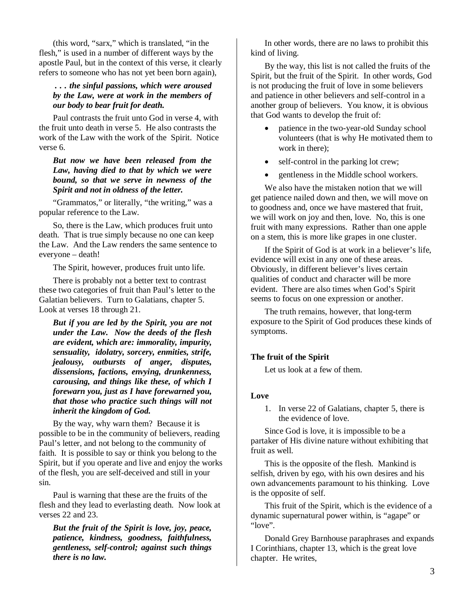(this word, "sarx," which is translated, "in the flesh," is used in a number of different ways by the apostle Paul, but in the context of this verse, it clearly refers to someone who has not yet been born again),

## *. . . the sinful passions, which were aroused by the Law, were at work in the members of our body to bear fruit for death.*

Paul contrasts the fruit unto God in verse 4, with the fruit unto death in verse 5. He also contrasts the work of the Law with the work of the Spirit. Notice verse 6.

### *But now we have been released from the Law, having died to that by which we were bound, so that we serve in newness of the Spirit and not in oldness of the letter.*

"Grammatos," or literally, "the writing," was a popular reference to the Law.

So, there is the Law, which produces fruit unto death. That is true simply because no one can keep the Law. And the Law renders the same sentence to everyone – death!

The Spirit, however, produces fruit unto life.

There is probably not a better text to contrast these two categories of fruit than Paul's letter to the Galatian believers. Turn to Galatians, chapter 5. Look at verses 18 through 21.

*But if you are led by the Spirit, you are not under the Law. Now the deeds of the flesh are evident, which are: immorality, impurity, sensuality, idolatry, sorcery, enmities, strife, jealousy, outbursts of anger, disputes, dissensions, factions, envying, drunkenness, carousing, and things like these, of which I forewarn you, just as I have forewarned you, that those who practice such things will not inherit the kingdom of God.* 

By the way, why warn them? Because it is possible to be in the community of believers, reading Paul's letter, and not belong to the community of faith. It is possible to say or think you belong to the Spirit, but if you operate and live and enjoy the works of the flesh, you are self-deceived and still in your sin.

Paul is warning that these are the fruits of the flesh and they lead to everlasting death. Now look at verses 22 and 23.

*But the fruit of the Spirit is love, joy, peace, patience, kindness, goodness, faithfulness, gentleness, self-control; against such things there is no law.* 

In other words, there are no laws to prohibit this kind of living.

By the way, this list is not called the fruits of the Spirit, but the fruit of the Spirit. In other words, God is not producing the fruit of love in some believers and patience in other believers and self-control in a another group of believers. You know, it is obvious that God wants to develop the fruit of:

- patience in the two-year-old Sunday school volunteers (that is why He motivated them to work in there);
- self-control in the parking lot crew;
- gentleness in the Middle school workers.

We also have the mistaken notion that we will get patience nailed down and then, we will move on to goodness and, once we have mastered that fruit, we will work on joy and then, love. No, this is one fruit with many expressions. Rather than one apple on a stem, this is more like grapes in one cluster.

If the Spirit of God is at work in a believer's life, evidence will exist in any one of these areas. Obviously, in different believer's lives certain qualities of conduct and character will be more evident. There are also times when God's Spirit seems to focus on one expression or another.

The truth remains, however, that long-term exposure to the Spirit of God produces these kinds of symptoms.

### **The fruit of the Spirit**

Let us look at a few of them.

#### **Love**

1. In verse 22 of Galatians, chapter 5, there is the evidence of love.

Since God is love, it is impossible to be a partaker of His divine nature without exhibiting that fruit as well.

This is the opposite of the flesh. Mankind is selfish, driven by ego, with his own desires and his own advancements paramount to his thinking. Love is the opposite of self.

This fruit of the Spirit, which is the evidence of a dynamic supernatural power within, is "agape" or "love".

Donald Grey Barnhouse paraphrases and expands I Corinthians, chapter 13, which is the great love chapter. He writes,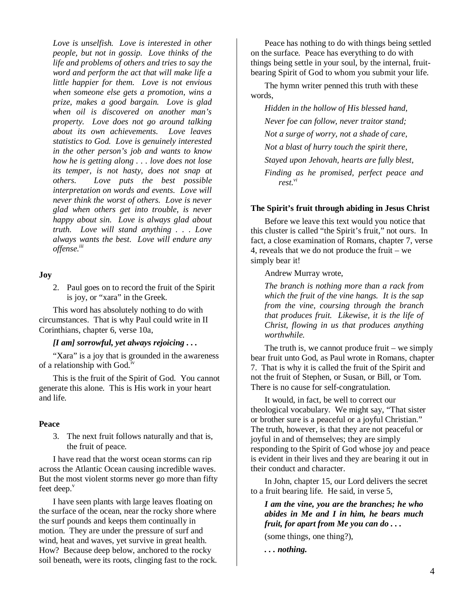*Love is unselfish. Love is interested in other people, but not in gossip. Love thinks of the life and problems of others and tries to say the word and perform the act that will make life a little happier for them. Love is not envious when someone else gets a promotion, wins a prize, makes a good bargain. Love is glad when oil is discovered on another man's property. Love does not go around talking about its own achievements. Love leaves statistics to God. Love is genuinely interested in the other person's job and wants to know how he is getting along . . . love does not lose its temper, is not hasty, does not snap at others. Love puts the best possible interpretation on words and events. Love will never think the worst of others. Love is never glad when others get into trouble, is never happy about sin. Love is always glad about truth. Love will stand anything . . . Love always wants the best. Love will endure any offense.iii*

#### **Joy**

2. Paul goes on to record the fruit of the Spirit is joy, or "xara" in the Greek.

This word has absolutely nothing to do with circumstances. That is why Paul could write in II Corinthians, chapter 6, verse 10a,

#### *[I am] sorrowful, yet always rejoicing . . .*

"Xara" is a joy that is grounded in the awareness of a relationship with God.<sup>iv</sup>

This is the fruit of the Spirit of God. You cannot generate this alone. This is His work in your heart and life.

#### **Peace**

3. The next fruit follows naturally and that is, the fruit of peace.

I have read that the worst ocean storms can rip across the Atlantic Ocean causing incredible waves. But the most violent storms never go more than fifty feet deep.<sup>v</sup>

I have seen plants with large leaves floating on the surface of the ocean, near the rocky shore where the surf pounds and keeps them continually in motion. They are under the pressure of surf and wind, heat and waves, yet survive in great health. How? Because deep below, anchored to the rocky soil beneath, were its roots, clinging fast to the rock.

Peace has nothing to do with things being settled on the surface. Peace has everything to do with things being settle in your soul, by the internal, fruitbearing Spirit of God to whom you submit your life.

The hymn writer penned this truth with these words,

*Hidden in the hollow of His blessed hand, Never foe can follow, never traitor stand; Not a surge of worry, not a shade of care, Not a blast of hurry touch the spirit there, Stayed upon Jehovah, hearts are fully blest, Finding as he promised, perfect peace and rest.vi*

#### **The Spirit's fruit through abiding in Jesus Christ**

Before we leave this text would you notice that this cluster is called "the Spirit's fruit," not ours. In fact, a close examination of Romans, chapter 7, verse 4, reveals that we do not produce the fruit – we simply bear it!

Andrew Murray wrote,

*The branch is nothing more than a rack from which the fruit of the vine hangs. It is the sap from the vine, coursing through the branch that produces fruit. Likewise, it is the life of Christ, flowing in us that produces anything worthwhile.* 

The truth is, we cannot produce fruit – we simply bear fruit unto God, as Paul wrote in Romans, chapter 7. That is why it is called the fruit of the Spirit and not the fruit of Stephen, or Susan, or Bill, or Tom. There is no cause for self-congratulation.

It would, in fact, be well to correct our theological vocabulary. We might say, "That sister or brother sure is a peaceful or a joyful Christian." The truth, however, is that they are not peaceful or joyful in and of themselves; they are simply responding to the Spirit of God whose joy and peace is evident in their lives and they are bearing it out in their conduct and character.

In John, chapter 15, our Lord delivers the secret to a fruit bearing life. He said, in verse 5,

### *I am the vine, you are the branches; he who abides in Me and I in him, he bears much fruit, for apart from Me you can do . . .*

(some things, one thing?),

*. . . nothing.*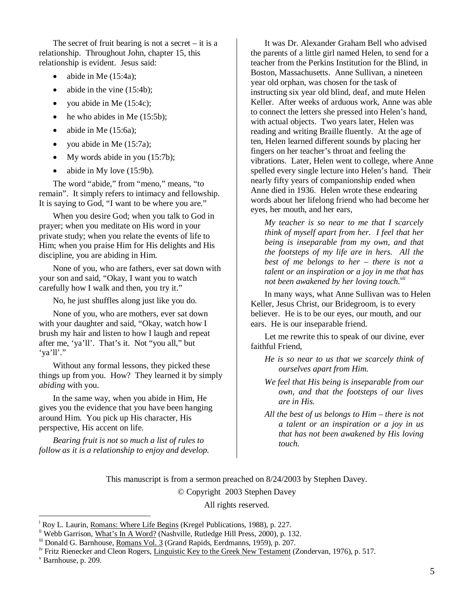The secret of fruit bearing is not a secret  $-$  it is a relationship. Throughout John, chapter 15, this relationship is evident. Jesus said:

- abide in Me  $(15:4a)$ ;
- abide in the vine (15:4b);
- you abide in Me  $(15:4c)$ ;
- he who abides in Me  $(15:5b)$ ;
- abide in Me  $(15:6a)$ ;
- you abide in Me (15:7a);
- My words abide in you (15:7b);
- abide in My love (15:9b).

The word "abide," from "meno," means, "to remain". It simply refers to intimacy and fellowship. It is saying to God, "I want to be where you are."

When you desire God; when you talk to God in prayer; when you meditate on His word in your private study; when you relate the events of life to Him; when you praise Him for His delights and His discipline, you are abiding in Him.

None of you, who are fathers, ever sat down with your son and said, "Okay, I want you to watch carefully how I walk and then, you try it."

No, he just shuffles along just like you do.

None of you, who are mothers, ever sat down with your daughter and said, "Okay, watch how I brush my hair and listen to how I laugh and repeat after me, 'ya'll'. That's it. Not "you all," but 'ya'll'."

Without any formal lessons, they picked these things up from you. How? They learned it by simply *abiding* with you.

In the same way, when you abide in Him, He gives you the evidence that you have been hanging around Him. You pick up His character, His perspective, His accent on life.

*Bearing fruit is not so much a list of rules to follow as it is a relationship to enjoy and develop.* 

It was Dr. Alexander Graham Bell who advised the parents of a little girl named Helen, to send for a teacher from the Perkins Institution for the Blind, in Boston, Massachusetts. Anne Sullivan, a nineteen year old orphan, was chosen for the task of instructing six year old blind, deaf, and mute Helen Keller. After weeks of arduous work, Anne was able to connect the letters she pressed into Helen's hand, with actual objects. Two years later, Helen was reading and writing Braille fluently. At the age of ten, Helen learned different sounds by placing her fingers on her teacher's throat and feeling the vibrations. Later, Helen went to college, where Anne spelled every single lecture into Helen's hand. Their nearly fifty years of companionship ended when Anne died in 1936. Helen wrote these endearing words about her lifelong friend who had become her eyes, her mouth, and her ears,

*My teacher is so near to me that I scarcely think of myself apart from her. I feel that her being is inseparable from my own, and that the footsteps of my life are in hers. All the best of me belongs to her – there is not a talent or an inspiration or a joy in me that has not been awakened by her loving touch.vii*

In many ways, what Anne Sullivan was to Helen Keller, Jesus Christ, our Bridegroom, is to every believer. He is to be our eyes, our mouth, and our ears. He is our inseparable friend.

Let me rewrite this to speak of our divine, ever faithful Friend,

- *He is so near to us that we scarcely think of ourselves apart from Him.*
- *We feel that His being is inseparable from our own, and that the footsteps of our lives are in His.*
- *All the best of us belongs to Him there is not a talent or an inspiration or a joy in us that has not been awakened by His loving touch.*

This manuscript is from a sermon preached on 8/24/2003 by Stephen Davey.

© Copyright 2003 Stephen Davey

All rights reserved.

v Barnhouse, p. 209.

 $\overline{a}$ 

<sup>&</sup>lt;sup>i</sup> Roy L. Laurin, Romans: Where Life Begins (Kregel Publications, 1988), p. 227.

<sup>&</sup>lt;sup>ii</sup> Webb Garrison, What's In A Word? (Nashville, Rutledge Hill Press, 2000), p. 132.

iii Donald G. Barnhouse, Romans Vol. 3 (Grand Rapids, Eerdmanns, 1959), p. 207.

<sup>&</sup>lt;sup>iv</sup> Fritz Rienecker and Cleon Rogers, *Linguistic Key to the Greek New Testament* (Zondervan, 1976), p. 517.